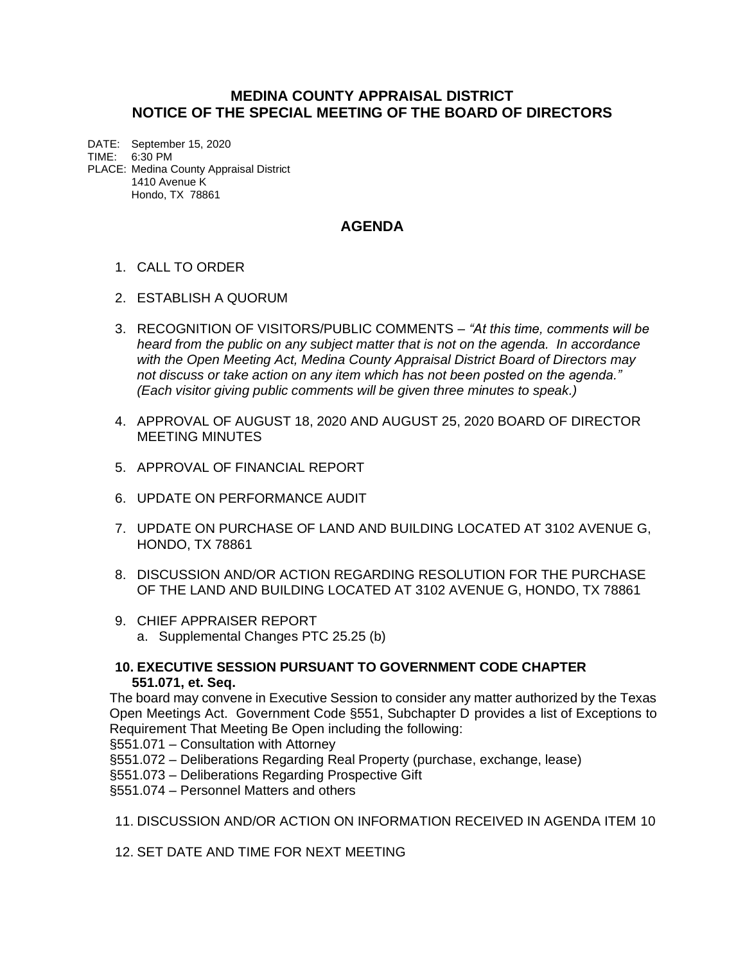## **MEDINA COUNTY APPRAISAL DISTRICT NOTICE OF THE SPECIAL MEETING OF THE BOARD OF DIRECTORS**

DATE: September 15, 2020 TIME: 6:30 PM PLACE: Medina County Appraisal District 1410 Avenue K Hondo, TX 78861

## **AGENDA**

- 1. CALL TO ORDER
- 2. ESTABLISH A QUORUM
- 3. RECOGNITION OF VISITORS/PUBLIC COMMENTS *"At this time, comments will be heard from the public on any subject matter that is not on the agenda. In accordance with the Open Meeting Act, Medina County Appraisal District Board of Directors may not discuss or take action on any item which has not been posted on the agenda." (Each visitor giving public comments will be given three minutes to speak.)*
- 4. APPROVAL OF AUGUST 18, 2020 AND AUGUST 25, 2020 BOARD OF DIRECTOR MEETING MINUTES
- 5. APPROVAL OF FINANCIAL REPORT
- 6. UPDATE ON PERFORMANCE AUDIT
- 7. UPDATE ON PURCHASE OF LAND AND BUILDING LOCATED AT 3102 AVENUE G, HONDO, TX 78861
- 8. DISCUSSION AND/OR ACTION REGARDING RESOLUTION FOR THE PURCHASE OF THE LAND AND BUILDING LOCATED AT 3102 AVENUE G, HONDO, TX 78861
- 9. CHIEF APPRAISER REPORT a. Supplemental Changes PTC 25.25 (b)
- **10. EXECUTIVE SESSION PURSUANT TO GOVERNMENT CODE CHAPTER 551.071, et. Seq.**

The board may convene in Executive Session to consider any matter authorized by the Texas Open Meetings Act. Government Code §551, Subchapter D provides a list of Exceptions to Requirement That Meeting Be Open including the following:

§551.071 – Consultation with Attorney

- §551.072 Deliberations Regarding Real Property (purchase, exchange, lease)
- §551.073 Deliberations Regarding Prospective Gift
- §551.074 Personnel Matters and others
- 11. DISCUSSION AND/OR ACTION ON INFORMATION RECEIVED IN AGENDA ITEM 10

12. SET DATE AND TIME FOR NEXT MEETING